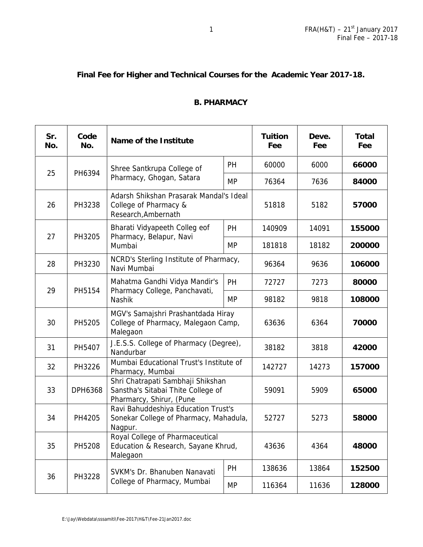## **Final Fee for Higher and Technical Courses for the Academic Year 2017-18.**

## **B. PHARMACY**

| Sr.<br>No. | Code<br>No. | Name of the Institute                                                                               |           | <b>Tuition</b><br>Fee | Deve.<br>Fee | <b>Total</b><br>Fee |
|------------|-------------|-----------------------------------------------------------------------------------------------------|-----------|-----------------------|--------------|---------------------|
|            |             | Shree Santkrupa College of                                                                          | PH        | 60000                 | 6000         | 66000               |
| 25         | PH6394      | Pharmacy, Ghogan, Satara                                                                            | <b>MP</b> | 76364                 | 7636         | 84000               |
| 26         | PH3238      | Adarsh Shikshan Prasarak Mandal's Ideal<br>College of Pharmacy &<br>Research, Ambernath             |           | 51818                 | 5182         | 57000               |
| 27         |             | Bharati Vidyapeeth Colleg eof<br>Pharmacy, Belapur, Navi                                            | <b>PH</b> | 140909                | 14091        | 155000              |
|            | PH3205      | Mumbai                                                                                              | MP        | 181818                | 18182        | 200000              |
| 28         | PH3230      | NCRD's Sterling Institute of Pharmacy,<br>Navi Mumbai                                               |           | 96364                 | 9636         | 106000              |
| 29         | PH5154      | Mahatma Gandhi Vidya Mandir's                                                                       | <b>PH</b> | 72727                 | 7273         | 80000               |
|            |             | Pharmacy College, Panchavati,<br>Nashik                                                             | <b>MP</b> | 98182                 | 9818         | 108000              |
| 30         | PH5205      | MGV's Samajshri Prashantdada Hiray<br>College of Pharmacy, Malegaon Camp,<br>Malegaon               |           | 63636                 | 6364         | 70000               |
| 31         | PH5407      | J.E.S.S. College of Pharmacy (Degree),<br>Nandurbar                                                 |           | 38182                 | 3818         | 42000               |
| 32         | PH3226      | Mumbai Educational Trust's Institute of<br>Pharmacy, Mumbai                                         |           | 142727                | 14273        | 157000              |
| 33         | DPH6368     | Shri Chatrapati Sambhaji Shikshan<br>Sanstha's Sitabai Thite College of<br>Pharmarcy, Shirur, (Pune |           | 59091                 | 5909         | 65000               |
| 34         | PH4205      | Ravi Bahuddeshiya Education Trust's<br>Sonekar College of Pharmacy, Mahadula,<br>Nagpur.            |           | 52727                 | 5273         | 58000               |
| 35         | PH5208      | Royal College of Pharmaceutical<br>Education & Research, Sayane Khrud,<br>Malegaon                  |           | 43636                 | 4364         | 48000               |
| 36         | PH3228      | SVKM's Dr. Bhanuben Nanavati                                                                        | PH        | 138636                | 13864        | 152500              |
|            |             | College of Pharmacy, Mumbai                                                                         |           | 116364                | 11636        | 128000              |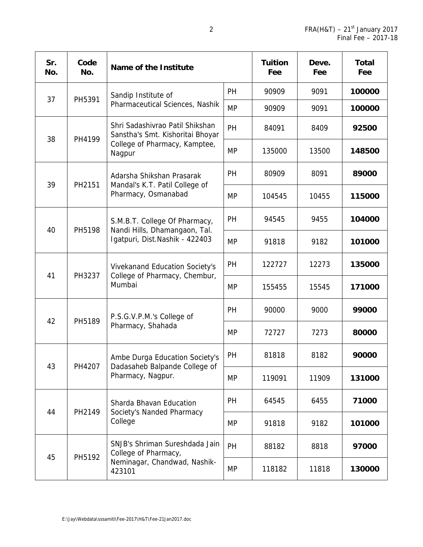| Sr.<br>No. | Code<br>No. | Name of the Institute                                                                                          |           | <b>Tuition</b><br>Fee | Deve.<br>Fee | <b>Total</b><br>Fee |
|------------|-------------|----------------------------------------------------------------------------------------------------------------|-----------|-----------------------|--------------|---------------------|
| 37         |             | Sandip Institute of<br>Pharmaceutical Sciences, Nashik                                                         | PH        | 90909                 | 9091         | 100000              |
|            | PH5391      |                                                                                                                | <b>MP</b> | 90909                 | 9091         | 100000              |
| 38         | PH4199      | Shri Sadashivrao Patil Shikshan<br>Sanstha's Smt. Kishoritai Bhoyar<br>College of Pharmacy, Kamptee,<br>Nagpur | PH        | 84091                 | 8409         | 92500               |
|            |             |                                                                                                                | <b>MP</b> | 135000                | 13500        | 148500              |
| 39         | PH2151      | Adarsha Shikshan Prasarak<br>Mandal's K.T. Patil College of<br>Pharmacy, Osmanabad                             | PH        | 80909                 | 8091         | 89000               |
|            |             |                                                                                                                | <b>MP</b> | 104545                | 10455        | 115000              |
| 40         | PH5198      | S.M.B.T. College Of Pharmacy,<br>Nandi Hills, Dhamangaon, Tal.<br>Igatpuri, Dist.Nashik - 422403               | PH        | 94545                 | 9455         | 104000              |
|            |             |                                                                                                                | <b>MP</b> | 91818                 | 9182         | 101000              |
| 41         | PH3237      | Vivekanand Education Society's<br>College of Pharmacy, Chembur,<br>Mumbai                                      | PH        | 122727                | 12273        | 135000              |
|            |             |                                                                                                                | <b>MP</b> | 155455                | 15545        | 171000              |
| 42         | PH5189      | P.S.G.V.P.M.'s College of<br>Pharmacy, Shahada                                                                 | PH        | 90000                 | 9000         | 99000               |
|            |             |                                                                                                                | <b>MP</b> | 72727                 | 7273         | 80000               |
| 43         | PH4207      | Ambe Durga Education Society's<br>Dadasaheb Balpande College of<br>Pharmacy, Nagpur.                           | PH        | 81818                 | 8182         | 90000               |
|            |             |                                                                                                                | <b>MP</b> | 119091                | 11909        | 131000              |
|            | PH2149      | Sharda Bhavan Education<br>Society's Nanded Pharmacy<br>College                                                | PH        | 64545                 | 6455         | 71000               |
| 44         |             |                                                                                                                | <b>MP</b> | 91818                 | 9182         | 101000              |
|            | PH5192      | SNJB's Shriman Sureshdada Jain<br>College of Pharmacy,<br>Neminagar, Chandwad, Nashik-<br>423101               | PH        | 88182                 | 8818         | 97000               |
| 45         |             |                                                                                                                | <b>MP</b> | 118182                | 11818        | 130000              |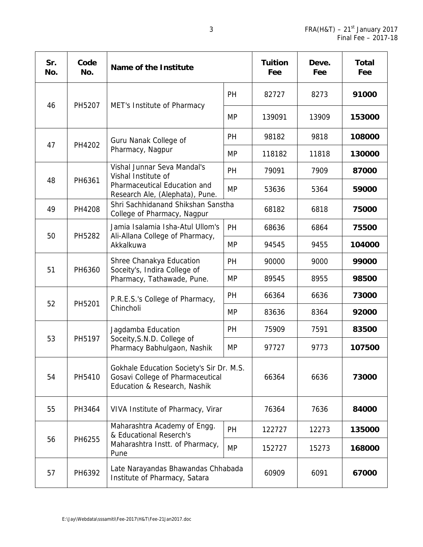| Sr.<br>No. | Code<br>No. | Name of the Institute                                                                                        |           | <b>Tuition</b><br>Fee | Deve.<br>Fee | <b>Total</b><br>Fee |
|------------|-------------|--------------------------------------------------------------------------------------------------------------|-----------|-----------------------|--------------|---------------------|
| 46         | PH5207      | MET's Institute of Pharmacy                                                                                  | PH        | 82727                 | 8273         | 91000               |
|            |             |                                                                                                              | <b>MP</b> | 139091                | 13909        | 153000              |
| 47         | PH4202      | Guru Nanak College of                                                                                        | PH        | 98182                 | 9818         | 108000              |
|            |             | Pharmacy, Nagpur                                                                                             | <b>MP</b> | 118182                | 11818        | 130000              |
|            |             | Vishal Junnar Seva Mandal's<br>Vishal Institute of                                                           | PH        | 79091                 | 7909         | 87000               |
| 48         | PH6361      | Pharmaceutical Education and<br>Research Ale, (Alephata), Pune.                                              | <b>MP</b> | 53636                 | 5364         | 59000               |
| 49         | PH4208      | Shri Sachhidanand Shikshan Sanstha<br>College of Pharmacy, Nagpur                                            |           | 68182                 | 6818         | 75000               |
| 50         | PH5282      | Jamia Isalamia Isha-Atul Ullom's<br>Ali-Allana College of Pharmacy,<br>Akkalkuwa                             | PH        | 68636                 | 6864         | 75500               |
|            |             |                                                                                                              | <b>MP</b> | 94545                 | 9455         | 104000              |
| 51         | PH6360      | Shree Chanakya Education<br>Soceity's, Indira College of<br>Pharmacy, Tathawade, Pune.                       | PH        | 90000                 | 9000         | 99000               |
|            |             |                                                                                                              | <b>MP</b> | 89545                 | 8955         | 98500               |
| 52         | PH5201      | P.R.E.S.'s College of Pharmacy,<br>Chincholi                                                                 | PH        | 66364                 | 6636         | 73000               |
|            |             |                                                                                                              | <b>MP</b> | 83636                 | 8364         | 92000               |
| 53         |             | Jagdamba Education<br>Soceity, S.N.D. College of<br>Pharmacy Babhulgaon, Nashik                              | PH        | 75909                 | 7591         | 83500               |
|            | PH5197      |                                                                                                              | <b>MP</b> | 97727                 | 9773         | 107500              |
| 54         | PH5410      | Gokhale Education Society's Sir Dr. M.S.<br>Gosavi College of Pharmaceutical<br>Education & Research, Nashik |           | 66364                 | 6636         | 73000               |
| 55         | PH3464      | VIVA Institute of Pharmacy, Virar                                                                            |           | 76364                 | 7636         | 84000               |
|            | PH6255      | Maharashtra Academy of Engg.<br>& Educational Reserch's<br>Maharashtra Instt. of Pharmacy,<br>Pune           | PH        | 122727                | 12273        | 135000              |
| 56         |             |                                                                                                              | <b>MP</b> | 152727                | 15273        | 168000              |
| 57         | PH6392      | Late Narayandas Bhawandas Chhabada<br>Institute of Pharmacy, Satara                                          |           | 60909                 | 6091         | 67000               |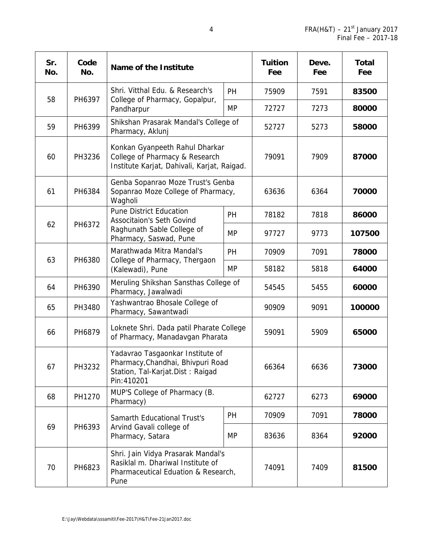| Sr.<br>No. | Code<br>No. | Name of the Institute                                                                                                      |           | <b>Tuition</b><br>Fee | Deve.<br>Fee | <b>Total</b><br>Fee |
|------------|-------------|----------------------------------------------------------------------------------------------------------------------------|-----------|-----------------------|--------------|---------------------|
| 58         | PH6397      | Shri. Vitthal Edu. & Research's                                                                                            | <b>PH</b> | 75909                 | 7591         | 83500               |
|            |             | College of Pharmacy, Gopalpur,<br>Pandharpur                                                                               | <b>MP</b> | 72727                 | 7273         | 80000               |
| 59         | PH6399      | Shikshan Prasarak Mandal's College of<br>Pharmacy, Aklunj                                                                  |           | 52727                 | 5273         | 58000               |
| 60         | PH3236      | Konkan Gyanpeeth Rahul Dharkar<br>College of Pharmacy & Research<br>Institute Karjat, Dahivali, Karjat, Raigad.            |           | 79091                 | 7909         | 87000               |
| 61         | PH6384      | Genba Sopanrao Moze Trust's Genba<br>Sopanrao Moze College of Pharmacy,<br>Wagholi                                         |           | 63636                 | 6364         | 70000               |
|            |             | <b>Pune District Education</b><br><b>Associtaion's Seth Govind</b><br>Raghunath Sable College of<br>Pharmacy, Saswad, Pune | PH        | 78182                 | 7818         | 86000               |
| 62         | PH6372      |                                                                                                                            | <b>MP</b> | 97727                 | 9773         | 107500              |
| 63         | PH6380      | Marathwada Mitra Mandal's<br>College of Pharmacy, Thergaon<br>(Kalewadi), Pune                                             | PH        | 70909                 | 7091         | 78000               |
|            |             |                                                                                                                            | <b>MP</b> | 58182                 | 5818         | 64000               |
| 64         | PH6390      | Meruling Shikshan Sansthas College of<br>Pharmacy, Jawalwadi                                                               |           | 54545                 | 5455         | 60000               |
| 65         | PH3480      | Yashwantrao Bhosale College of<br>Pharmacy, Sawantwadi                                                                     |           | 90909                 | 9091         | 100000              |
| 66         | PH6879      | Loknete Shri. Dada patil Pharate College<br>of Pharmacy, Manadavgan Pharata                                                |           | 59091                 | 5909         | 65000               |
| 67         | PH3232      | Yadavrao Tasgaonkar Institute of<br>Pharmacy, Chandhai, Bhivpuri Road<br>Station, Tal-Karjat.Dist: Raigad<br>Pin: 410201   |           | 66364                 | 6636         | 73000               |
| 68         | PH1270      | MUP'S College of Pharmacy (B.<br>Pharmacy)                                                                                 |           | 62727                 | 6273         | 69000               |
|            | PH6393      | <b>Samarth Educational Trust's</b>                                                                                         | <b>PH</b> | 70909                 | 7091         | 78000               |
| 69         |             | Arvind Gavali college of<br>Pharmacy, Satara                                                                               | <b>MP</b> | 83636                 | 8364         | 92000               |
| 70         | PH6823      | Shri. Jain Vidya Prasarak Mandal's<br>Rasiklal m. Dhariwal Institute of<br>Pharmaceutical Eduation & Research,<br>Pune     |           | 74091                 | 7409         | 81500               |